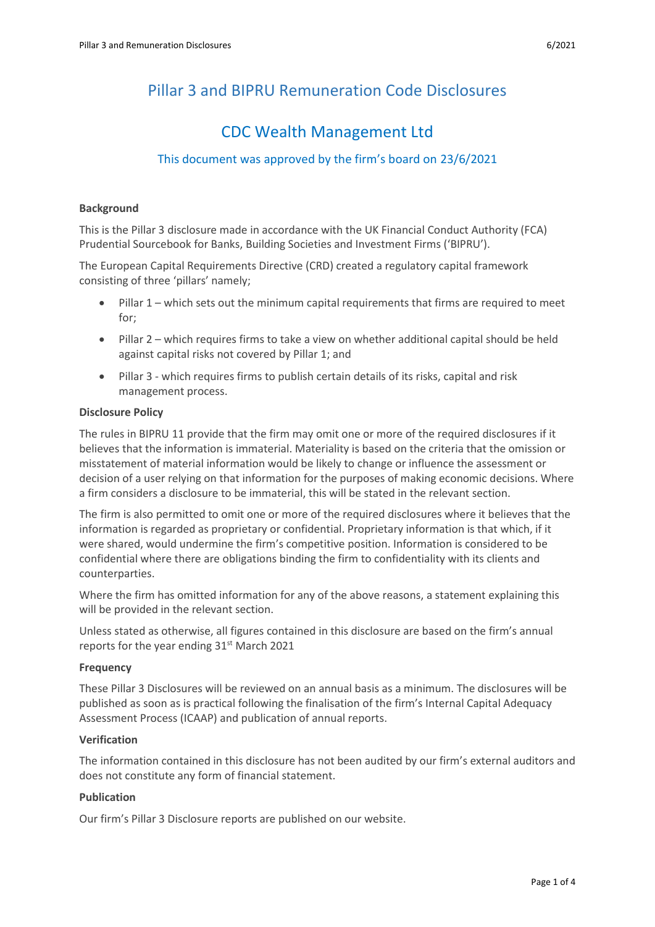# Pillar 3 and BIPRU Remuneration Code Disclosures

# CDC Wealth Management Ltd

# This document was approved by the firm's board on 23/6/2021

#### **Background**

This is the Pillar 3 disclosure made in accordance with the UK Financial Conduct Authority (FCA) Prudential Sourcebook for Banks, Building Societies and Investment Firms ('BIPRU').

The European Capital Requirements Directive (CRD) created a regulatory capital framework consisting of three 'pillars' namely;

- Pillar 1 which sets out the minimum capital requirements that firms are required to meet for;
- Pillar 2 which requires firms to take a view on whether additional capital should be held against capital risks not covered by Pillar 1; and
- Pillar 3 which requires firms to publish certain details of its risks, capital and risk management process.

#### **Disclosure Policy**

The rules in BIPRU 11 provide that the firm may omit one or more of the required disclosures if it believes that the information is immaterial. Materiality is based on the criteria that the omission or misstatement of material information would be likely to change or influence the assessment or decision of a user relying on that information for the purposes of making economic decisions. Where a firm considers a disclosure to be immaterial, this will be stated in the relevant section.

The firm is also permitted to omit one or more of the required disclosures where it believes that the information is regarded as proprietary or confidential. Proprietary information is that which, if it were shared, would undermine the firm's competitive position. Information is considered to be confidential where there are obligations binding the firm to confidentiality with its clients and counterparties.

Where the firm has omitted information for any of the above reasons, a statement explaining this will be provided in the relevant section.

Unless stated as otherwise, all figures contained in this disclosure are based on the firm's annual reports for the year ending 31<sup>st</sup> March 2021

## **Frequency**

These Pillar 3 Disclosures will be reviewed on an annual basis as a minimum. The disclosures will be published as soon as is practical following the finalisation of the firm's Internal Capital Adequacy Assessment Process (ICAAP) and publication of annual reports.

#### **Verification**

The information contained in this disclosure has not been audited by our firm's external auditors and does not constitute any form of financial statement.

#### **Publication**

Our firm's Pillar 3 Disclosure reports are published on our website.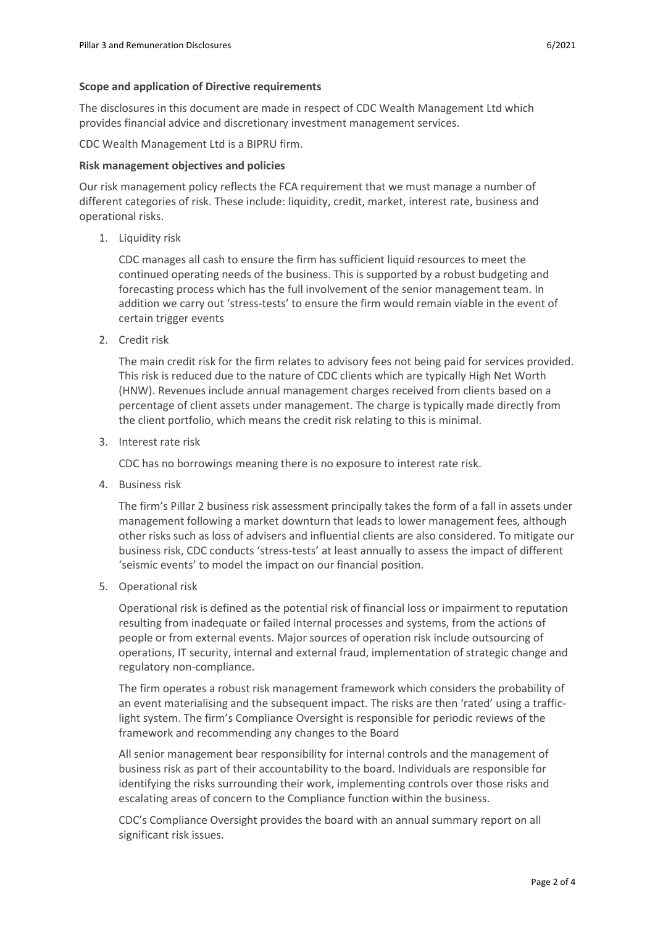#### **Scope and application of Directive requirements**

The disclosures in this document are made in respect of CDC Wealth Management Ltd which provides financial advice and discretionary investment management services.

CDC Wealth Management Ltd is a BIPRU firm.

#### **Risk management objectives and policies**

Our risk management policy reflects the FCA requirement that we must manage a number of different categories of risk. These include: liquidity, credit, market, interest rate, business and operational risks.

1. Liquidity risk

CDC manages all cash to ensure the firm has sufficient liquid resources to meet the continued operating needs of the business. This is supported by a robust budgeting and forecasting process which has the full involvement of the senior management team. In addition we carry out 'stress-tests' to ensure the firm would remain viable in the event of certain trigger events

2. Credit risk

The main credit risk for the firm relates to advisory fees not being paid for services provided. This risk is reduced due to the nature of CDC clients which are typically High Net Worth (HNW). Revenues include annual management charges received from clients based on a percentage of client assets under management. The charge is typically made directly from the client portfolio, which means the credit risk relating to this is minimal.

3. Interest rate risk

CDC has no borrowings meaning there is no exposure to interest rate risk.

4. Business risk

The firm's Pillar 2 business risk assessment principally takes the form of a fall in assets under management following a market downturn that leads to lower management fees, although other risks such as loss of advisers and influential clients are also considered. To mitigate our business risk, CDC conducts 'stress-tests' at least annually to assess the impact of different 'seismic events' to model the impact on our financial position.

5. Operational risk

Operational risk is defined as the potential risk of financial loss or impairment to reputation resulting from inadequate or failed internal processes and systems, from the actions of people or from external events. Major sources of operation risk include outsourcing of operations, IT security, internal and external fraud, implementation of strategic change and regulatory non-compliance.

The firm operates a robust risk management framework which considers the probability of an event materialising and the subsequent impact. The risks are then 'rated' using a trafficlight system. The firm's Compliance Oversight is responsible for periodic reviews of the framework and recommending any changes to the Board

All senior management bear responsibility for internal controls and the management of business risk as part of their accountability to the board. Individuals are responsible for identifying the risks surrounding their work, implementing controls over those risks and escalating areas of concern to the Compliance function within the business.

CDC's Compliance Oversight provides the board with an annual summary report on all significant risk issues.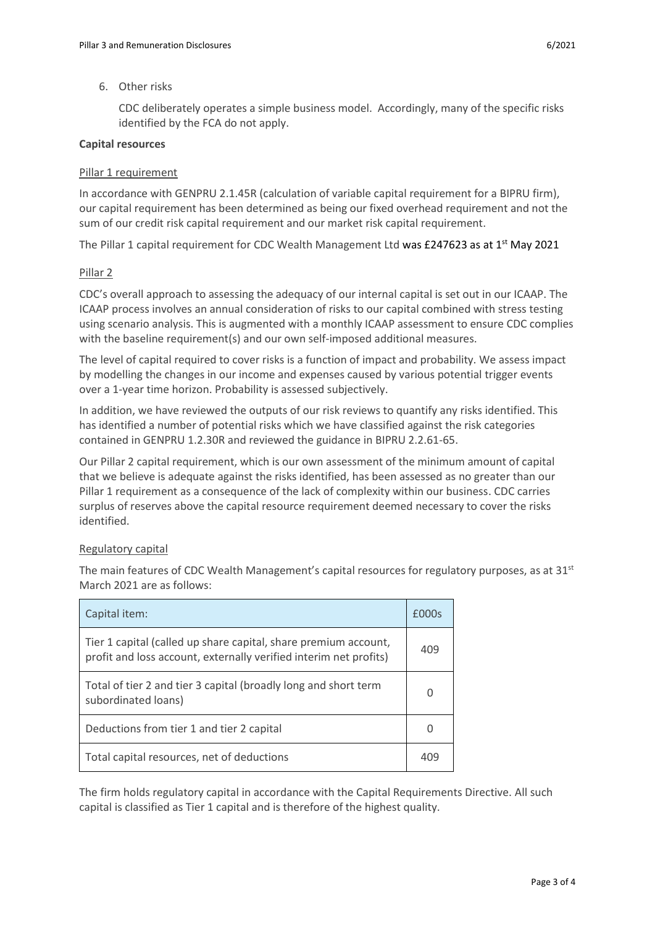#### 6. Other risks

CDC deliberately operates a simple business model. Accordingly, many of the specific risks identified by the FCA do not apply.

#### **Capital resources**

#### Pillar 1 requirement

In accordance with GENPRU 2.1.45R (calculation of variable capital requirement for a BIPRU firm), our capital requirement has been determined as being our fixed overhead requirement and not the sum of our credit risk capital requirement and our market risk capital requirement.

The Pillar 1 capital requirement for CDC Wealth Management Ltd was £247623 as at 1<sup>st</sup> May 2021

#### Pillar 2

CDC's overall approach to assessing the adequacy of our internal capital is set out in our ICAAP. The ICAAP process involves an annual consideration of risks to our capital combined with stress testing using scenario analysis. This is augmented with a monthly ICAAP assessment to ensure CDC complies with the baseline requirement(s) and our own self-imposed additional measures.

The level of capital required to cover risks is a function of impact and probability. We assess impact by modelling the changes in our income and expenses caused by various potential trigger events over a 1-year time horizon. Probability is assessed subjectively.

In addition, we have reviewed the outputs of our risk reviews to quantify any risks identified. This has identified a number of potential risks which we have classified against the risk categories contained in GENPRU 1.2.30R and reviewed the guidance in BIPRU 2.2.61-65.

Our Pillar 2 capital requirement, which is our own assessment of the minimum amount of capital that we believe is adequate against the risks identified, has been assessed as no greater than our Pillar 1 requirement as a consequence of the lack of complexity within our business. CDC carries surplus of reserves above the capital resource requirement deemed necessary to cover the risks identified.

## Regulatory capital

The main features of CDC Wealth Management's capital resources for regulatory purposes, as at 31<sup>st</sup> March 2021 are as follows:

| Capital item:                                                                                                                        | £000s           |
|--------------------------------------------------------------------------------------------------------------------------------------|-----------------|
| Tier 1 capital (called up share capital, share premium account,<br>profit and loss account, externally verified interim net profits) | 409             |
| Total of tier 2 and tier 3 capital (broadly long and short term<br>subordinated loans)                                               | O               |
| Deductions from tier 1 and tier 2 capital                                                                                            | $\cup$          |
| Total capital resources, net of deductions                                                                                           | 40 <sup>c</sup> |

The firm holds regulatory capital in accordance with the Capital Requirements Directive. All such capital is classified as Tier 1 capital and is therefore of the highest quality.